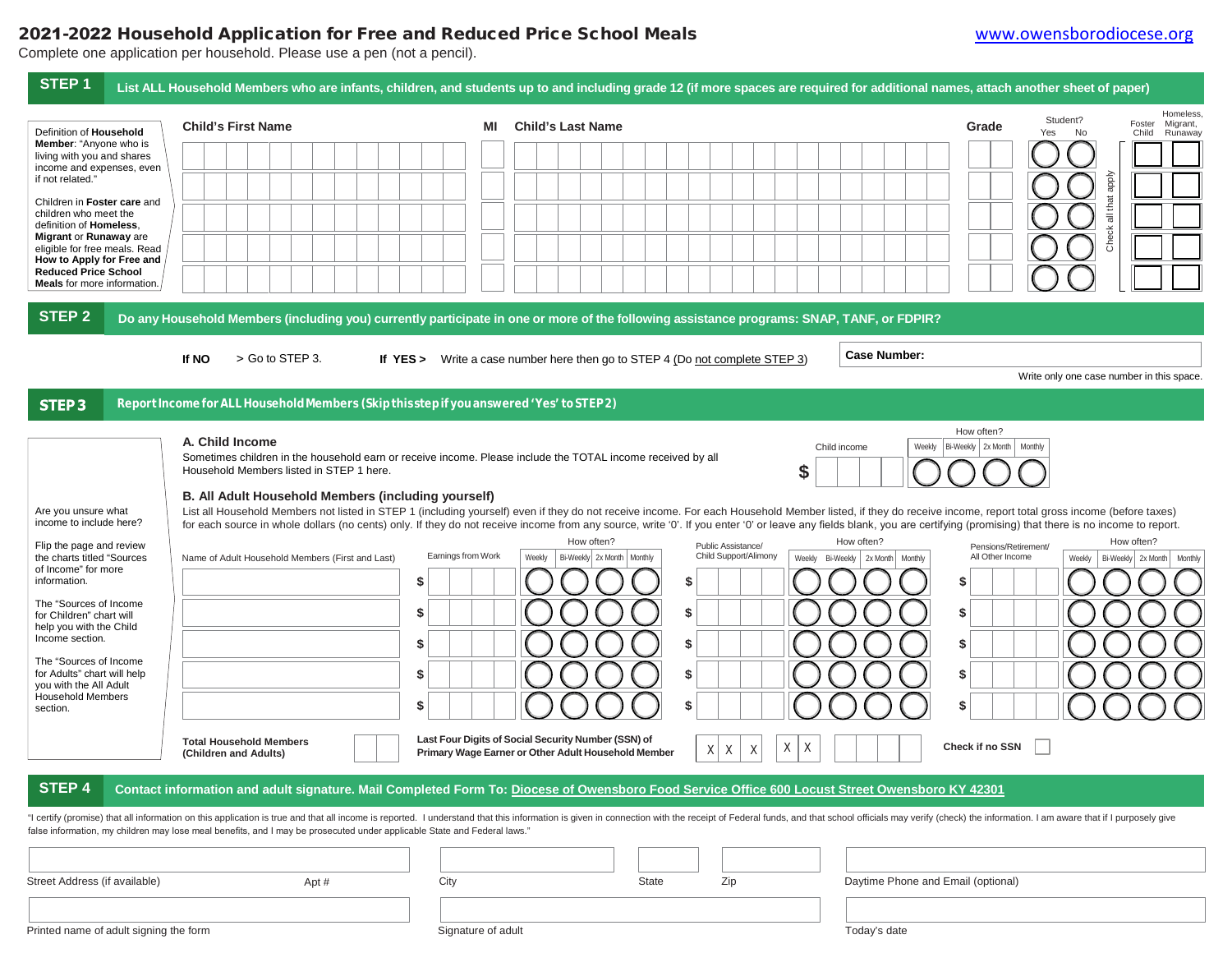## 2021-2022 Household Application for Free and Reduced Price School Meals [www.owensborodiocese.org](http://www.owensborodiocese.org/)

Complete one application per household. Please use a pen (not a pencil).

| STEP <sub>1</sub>                                                                                                                                                                                                                                                                                                                                                                       | List ALL Household Members who are infants, children, and students up to and including grade 12 (if more spaces are required for additional names, attach another sheet of paper)                                                                                                                                                                                                                                                                                                                                                                                                                                                                                                                                                                                                               |                                                                                                                                                                         |                                                                                                                                                   |                                                                                                                        |                                                                                                             |                                                       |
|-----------------------------------------------------------------------------------------------------------------------------------------------------------------------------------------------------------------------------------------------------------------------------------------------------------------------------------------------------------------------------------------|-------------------------------------------------------------------------------------------------------------------------------------------------------------------------------------------------------------------------------------------------------------------------------------------------------------------------------------------------------------------------------------------------------------------------------------------------------------------------------------------------------------------------------------------------------------------------------------------------------------------------------------------------------------------------------------------------------------------------------------------------------------------------------------------------|-------------------------------------------------------------------------------------------------------------------------------------------------------------------------|---------------------------------------------------------------------------------------------------------------------------------------------------|------------------------------------------------------------------------------------------------------------------------|-------------------------------------------------------------------------------------------------------------|-------------------------------------------------------|
| Definition of Household<br><b>Member:</b> "Anyone who is<br>living with you and shares<br>income and expenses, even<br>if not related."<br>Children in Foster care and<br>children who meet the<br>definition of Homeless.<br>Migrant or Runaway are<br>eligible for free meals. Read<br>How to Apply for Free and<br><b>Reduced Price School</b><br><b>Meals</b> for more information. | <b>Child's First Name</b>                                                                                                                                                                                                                                                                                                                                                                                                                                                                                                                                                                                                                                                                                                                                                                       | <b>Child's Last Name</b><br>MI                                                                                                                                          |                                                                                                                                                   |                                                                                                                        | Student?<br>Grade<br>Yes<br>No<br>dode<br>all that<br>Check                                                 | Homeless.<br>Foster<br>Migrant,<br>Runaway<br>Child   |
| <b>STEP 2</b><br>STEP <sub>3</sub>                                                                                                                                                                                                                                                                                                                                                      | Do any Household Members (including you) currently participate in one or more of the following assistance programs: SNAP, TANF, or FDPIR?<br>> Go to STEP 3.<br>If NO<br>Report Income for ALL Household Members (Skip this step if you answered 'Yes' to STEP 2)                                                                                                                                                                                                                                                                                                                                                                                                                                                                                                                               | If $YES >$                                                                                                                                                              | Write a case number here then go to STEP 4 (Do not complete STEP 3)                                                                               | <b>Case Number:</b>                                                                                                    | Write only one case number in this space                                                                    |                                                       |
| Are you unsure what<br>income to include here?<br>Flip the page and review<br>the charts titled "Sources<br>of Income" for more<br>information.<br>The "Sources of Income<br>for Children" chart will<br>help you with the Child<br>Income section.<br>The "Sources of Income<br>for Adults" chart will help<br>you with the All Adult<br><b>Household Members</b><br>section.          | A. Child Income<br>Sometimes children in the household earn or receive income. Please include the TOTAL income received by all<br>Household Members listed in STEP 1 here.<br>B. All Adult Household Members (including yourself)<br>List all Household Members not listed in STEP 1 (including yourself) even if they do not receive income. For each Household Member listed, if they do receive income, report total gross income (before taxes)<br>for each source in whole dollars (no cents) only. If they do not receive income from any source, write '0'. If you enter '0' or leave any fields blank, you are certifying (promising) that there is no income to report.<br>Name of Adult Household Members (First and Last)<br><b>Total Household Members</b><br>(Children and Adults) | Earnings from Work<br>Weekly<br>\$<br>\$<br>S<br>\$<br>\$<br>Last Four Digits of Social Security Number (SSN) of<br>Primary Wage Earner or Other Adult Household Member | How often?<br>Public Assistance/<br>Child Support/Alimony<br>Bi-Weekly 2x Month   Monthly<br>\$<br>\$<br>\$<br>\$<br>S<br>Χ<br>$\times$<br>Χ<br>X | Child income<br>Weekly<br>\$<br>How often?<br>Weekly Bi-Weekly   2x Month   Monthly<br>\$<br>\$<br>\$<br>\$<br>\$<br>Χ | How often?<br>Bi-Weekly   2x Month   Monthly<br>Pensions/Retirement/<br>All Other Income<br>Check if no SSN | How often?<br>Weekly   Bi-Weekly   2x Month   Monthly |
| <b>STEP 4</b>                                                                                                                                                                                                                                                                                                                                                                           | Contact information and adult signature. Mail Completed Form To: Diocese of Owensboro Food Service Office 600 Locust Street Owensboro KY 42301<br>"I certify (promise) that all information on this application is true and that all income is reported. I understand that this information is given in connection with the receipt of Federal funds, and that school officials<br>false information, my children may lose meal benefits, and I may be prosecuted under applicable State and Federal laws."                                                                                                                                                                                                                                                                                     |                                                                                                                                                                         |                                                                                                                                                   |                                                                                                                        |                                                                                                             |                                                       |
| Street Address (if available)                                                                                                                                                                                                                                                                                                                                                           | Apt #                                                                                                                                                                                                                                                                                                                                                                                                                                                                                                                                                                                                                                                                                                                                                                                           | City                                                                                                                                                                    | Zip<br>State                                                                                                                                      | Daytime Phone and Email (optional)                                                                                     |                                                                                                             |                                                       |
| Printed name of adult signing the form                                                                                                                                                                                                                                                                                                                                                  |                                                                                                                                                                                                                                                                                                                                                                                                                                                                                                                                                                                                                                                                                                                                                                                                 | Signature of adult                                                                                                                                                      |                                                                                                                                                   | Today's date                                                                                                           |                                                                                                             |                                                       |